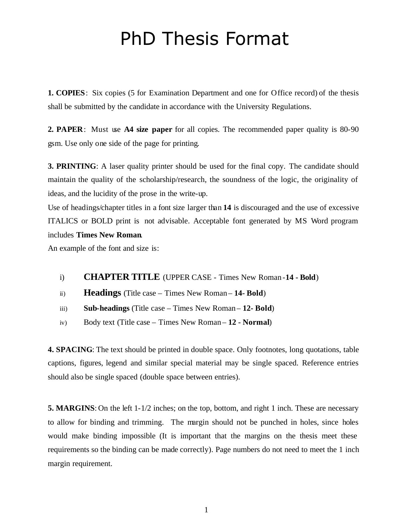## PhD Thesis Format

**1. COPIES**: Six copies (5 for Examination Department and one for Office record) of the thesis shall be submitted by the candidate in accordance with the University Regulations.

**2. PAPER**: Must use **A4 size paper** for all copies. The recommended paper quality is 80-90 gsm. Use only one side of the page for printing.

**3. PRINTING**: A laser quality printer should be used for the final copy. The candidate should maintain the quality of the scholarship/research, the soundness of the logic, the originality of ideas, and the lucidity of the prose in the write-up.

Use of headings/chapter titles in a font size larger than **14** is discouraged and the use of excessive ITALICS or BOLD print is not advisable. Acceptable font generated by MS Word program includes **Times New Roman**.

An example of the font and size is:

- i) **CHAPTER TITLE** (UPPER CASE Times New Roman -**14 - Bold**)
- ii) **Headings** (Title case Times New Roman **14- Bold**)
- iii) **Sub-headings** (Title case Times New Roman 12- Bold)
- iv) Body text (Title case Times New Roman **12 Normal**)

**4. SPACING**: The text should be printed in double space. Only footnotes, long quotations, table captions, figures, legend and similar special material may be single spaced. Reference entries should also be single spaced (double space between entries).

**5. MARGINS**: On the left  $1-1/2$  inches; on the top, bottom, and right 1 inch. These are necessary to allow for binding and trimming. The margin should not be punched in holes, since holes would make binding impossible (It is important that the margins on the thesis meet these requirements so the binding can be made correctly). Page numbers do not need to meet the 1 inch margin requirement.